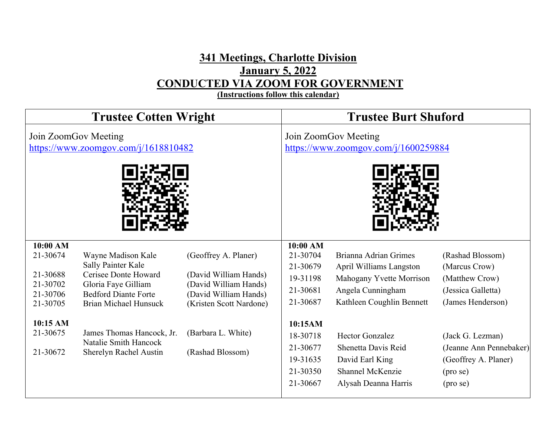## **341 Meetings, Charlotte Division January 5, 2022 CONDUCTED VIA ZOOM FOR GOVERNMENT**

**(Instructions follow this calendar)**

| <b>Trustee Cotten Wright</b>                                                                             |                                                                                                                                                                                                                                        |                                                                                                                                                                      | <b>Trustee Burt Shuford</b>                                                                                                                   |                                                                                                                                                                                                                                                |                                                                                                                                                                                                        |
|----------------------------------------------------------------------------------------------------------|----------------------------------------------------------------------------------------------------------------------------------------------------------------------------------------------------------------------------------------|----------------------------------------------------------------------------------------------------------------------------------------------------------------------|-----------------------------------------------------------------------------------------------------------------------------------------------|------------------------------------------------------------------------------------------------------------------------------------------------------------------------------------------------------------------------------------------------|--------------------------------------------------------------------------------------------------------------------------------------------------------------------------------------------------------|
|                                                                                                          | Join ZoomGov Meeting<br>https://www.zoomgov.com/j/1618810482                                                                                                                                                                           |                                                                                                                                                                      |                                                                                                                                               | Join ZoomGov Meeting<br>https://www.zoomgov.com/j/1600259884                                                                                                                                                                                   |                                                                                                                                                                                                        |
| 10:00 AM<br>21-30674<br>21-30688<br>21-30702<br>21-30706<br>21-30705<br>10:15 AM<br>21-30675<br>21-30672 | Wayne Madison Kale<br>Sally Painter Kale<br>Cerisee Donte Howard<br>Gloria Faye Gilliam<br><b>Bedford Diante Forte</b><br><b>Brian Michael Hunsuck</b><br>James Thomas Hancock, Jr.<br>Natalie Smith Hancock<br>Sherelyn Rachel Austin | (Geoffrey A. Planer)<br>(David William Hands)<br>(David William Hands)<br>(David William Hands)<br>(Kristen Scott Nardone)<br>(Barbara L. White)<br>(Rashad Blossom) | $10:00$ AM<br>21-30704<br>21-30679<br>19-31198<br>21-30681<br>21-30687<br>10:15AM<br>18-30718<br>21-30677<br>19-31635<br>21-30350<br>21-30667 | Brianna Adrian Grimes<br>April Williams Langston<br>Mahogany Yvette Morrison<br>Angela Cunningham<br>Kathleen Coughlin Bennett<br><b>Hector Gonzalez</b><br>Shenetta Davis Reid<br>David Earl King<br>Shannel McKenzie<br>Alysah Deanna Harris | (Rashad Blossom)<br>(Marcus Crow)<br>(Matthew Crow)<br>(Jessica Galletta)<br>(James Henderson)<br>(Jack G. Lezman)<br>(Jeanne Ann Pennebaker)<br>(Geoffrey A. Planer)<br>$(\text{pro se})$<br>(pro se) |